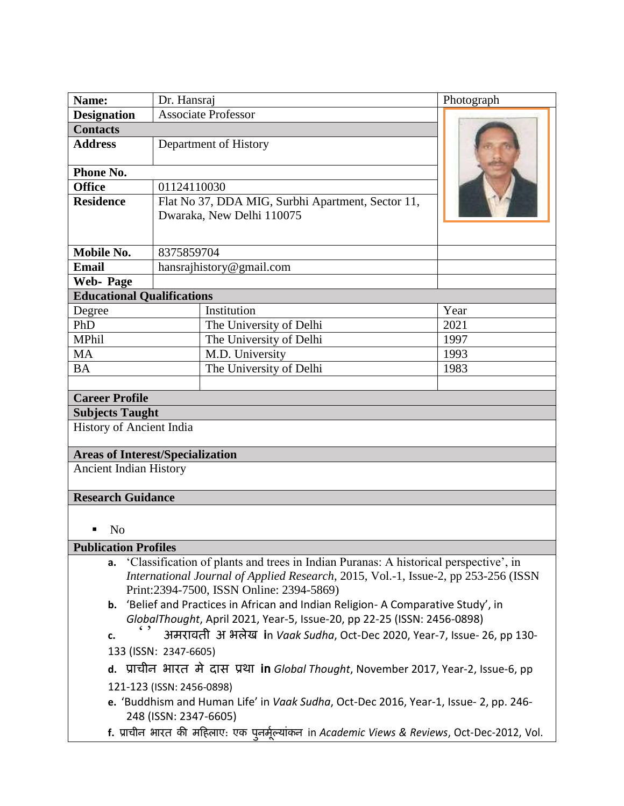| Name:                                                                                      | Dr. Hansraj                |                                                   | Photograph |
|--------------------------------------------------------------------------------------------|----------------------------|---------------------------------------------------|------------|
| <b>Designation</b>                                                                         | <b>Associate Professor</b> |                                                   |            |
| <b>Contacts</b>                                                                            |                            |                                                   |            |
| <b>Address</b>                                                                             | Department of History      |                                                   |            |
| Phone No.                                                                                  |                            |                                                   |            |
| <b>Office</b>                                                                              | 01124110030                |                                                   |            |
| <b>Residence</b>                                                                           |                            | Flat No 37, DDA MIG, Surbhi Apartment, Sector 11, |            |
|                                                                                            | Dwaraka, New Delhi 110075  |                                                   |            |
|                                                                                            |                            |                                                   |            |
| Mobile No.                                                                                 | 8375859704                 |                                                   |            |
| <b>Email</b>                                                                               | hansrajhistory@gmail.com   |                                                   |            |
| <b>Web-Page</b>                                                                            |                            |                                                   |            |
| <b>Educational Qualifications</b>                                                          |                            |                                                   |            |
| Degree                                                                                     |                            | Institution                                       | Year       |
| PhD                                                                                        |                            | The University of Delhi                           | 2021       |
| MPhil                                                                                      |                            | The University of Delhi                           | 1997       |
| <b>MA</b>                                                                                  |                            | M.D. University                                   | 1993       |
| <b>BA</b>                                                                                  |                            | The University of Delhi                           | 1983       |
|                                                                                            |                            |                                                   |            |
| <b>Career Profile</b>                                                                      |                            |                                                   |            |
| <b>Subjects Taught</b>                                                                     |                            |                                                   |            |
| History of Ancient India                                                                   |                            |                                                   |            |
| <b>Areas of Interest/Specialization</b>                                                    |                            |                                                   |            |
| <b>Ancient Indian History</b>                                                              |                            |                                                   |            |
| <b>Research Guidance</b>                                                                   |                            |                                                   |            |
|                                                                                            |                            |                                                   |            |
| N <sub>o</sub>                                                                             |                            |                                                   |            |
| <b>Publication Profiles</b>                                                                |                            |                                                   |            |
| 'Classification of plants and trees in Indian Puranas: A historical perspective', in<br>a. |                            |                                                   |            |
| International Journal of Applied Research, 2015, Vol.-1, Issue-2, pp 253-256 (ISSN         |                            |                                                   |            |
| Print:2394-7500, ISSN Online: 2394-5869)                                                   |                            |                                                   |            |
| 'Belief and Practices in African and Indian Religion- A Comparative Study', in<br>b.       |                            |                                                   |            |
| GlobalThought, April 2021, Year-5, Issue-20, pp 22-25 (ISSN: 2456-0898)                    |                            |                                                   |            |
| अमरावती अभलेख in Vaak Sudha, Oct-Dec 2020, Year-7, Issue- 26, pp 130-<br>c.                |                            |                                                   |            |
| 133 (ISSN: 2347-6605)                                                                      |                            |                                                   |            |
| d. प्राचीन भारत मे दास प्रथा in Global Thought, November 2017, Year-2, Issue-6, pp         |                            |                                                   |            |

- 121-123 (ISSN: 2456-0898)
- **e.** 'Buddhism and Human Life' in *Vaak Sudha*, Oct-Dec 2016, Year-1, Issue- 2, pp. 246- 248 (ISSN: 2347-6605)
- **f. प्राचीन िारत की महिलाए: एक पुनममलू ्ाांकन** in *Academic Views & Reviews*, Oct-Dec-2012, Vol.